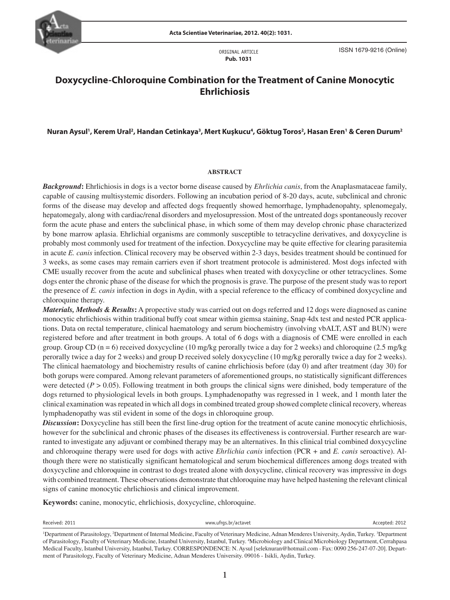

ORIGINAL ARTICLE **Pub. 1031**

ISSN 1679-9216 (Online)

# **Doxycycline-Chloroquine Combination for the Treatment of Canine Monocytic Ehrlichiosis**

# **Nuran Aysul1 , Kerem Ural2 , Handan Cetinkaya3 , Mert Kuşkucu4 , Göktug Toros2 , Hasan Eren1 & Ceren Durum2**

#### **ABSTRACT**

*Background***:** Ehrlichiosis in dogs is a vector borne disease caused by *Ehrlichia canis*, from the Anaplasmataceae family, capable of causing multisystemic disorders. Following an incubation period of 8-20 days, acute, subclinical and chronic forms of the disease may develop and affected dogs frequently showed hemorrhage, lymphadenopahty, splenomegaly, hepatomegaly, along with cardiac/renal disorders and myelosupression. Most of the untreated dogs spontaneously recover form the acute phase and enters the subclinical phase, in which some of them may develop chronic phase characterized by bone marrow aplasia. Ehrlichial organisms are commonly susceptible to tetracycline derivatives, and doxycycline is probably most commonly used for treatment of the infection. Doxycycline may be quite effective for clearing parasitemia in acute *E. canis* infection. Clinical recovery may be observed within 2-3 days, besides treatment should be continued for 3 weeks, as some cases may remain carriers even if short treatment protocole is administered. Most dogs infected with CME usually recover from the acute and subclinical phases when treated with doxycycline or other tetracyclines. Some dogs enter the chronic phase of the disease for which the prognosis is grave. The purpose of the present study was to report the presence of *E. canis* infection in dogs in Aydin, with a special reference to the efficacy of combined doxycycline and chloroquine therapy.

N *Materials, Methods & Results***:** A propective study was carried out on dogs referred and 12 dogs were diagnosed as canine monocytic ehrlichiosis within traditional buffy coat smear within giemsa staining, Snap 4dx test and nested PCR applications. Data on rectal temperature, clinical haematology and serum biochemistry (involving vbALT, AST and BUN) were registered before and after treatment in both groups. A total of 6 dogs with a diagnosis of CME were enrolled in each group. Group CD ( $n = 6$ ) received doxycycline (10 mg/kg perorally twice a day for 2 weeks) and chloroquine (2.5 mg/kg) perorally twice a day for 2 weeks) and group D received solely doxycycline (10 mg/kg perorally twice a day for 2 weeks). The clinical haematology and biochemistry results of canine ehrlichiosis before (day 0) and after treatment (day 30) for both gorups were compared. Among relevant parameters of aforementioned groups, no statistically significant differences were detected  $(P > 0.05)$ . Following treatment in both groups the clinical signs were dinished, body temperature of the dogs returned to physiological levels in both groups. Lymphadenopathy was regressed in 1 week, and 1 month later the clinical examination was repeated in which all dogs in combined treated group showed complete clinical recovery, whereas lymphadenopathy was stil evident in some of the dogs in chloroquine group.

*Discussion***:** Doxycycline has still been the first line-drug option for the treatment of acute canine monocytic ehrlichiosis, however for the subclinical and chronic phases of the diseases its effectiveness is controversial. Further research are warranted to investigate any adjuvant or combined therapy may be an alternatives. In this clinical trial combined doxycycline and chloroquine therapy were used for dogs with active *Ehrlichia canis* infection (PCR + and *E. canis* seroactive). Although there were no statistically significant hematological and serum biochemical differences among dogs treated with doxycycline and chloroquine in contrast to dogs treated alone with doxycycline, clinical recovery was impressive in dogs with combined treatment. These observations demonstrate that chloroquine may have helped hastening the relevant clinical signs of canine monocytic ehrlichiosis and clinical improvement.

**Keywords:** canine, monocytic, ehrlichiosis, doxycycline, chloroquine.

Received: 2011 www.ufrgs.br/actavet Accepted: 2012

<sup>&</sup>lt;sup>1</sup>Department of Parasitology, <sup>2</sup>Department of Internal Medicine, Faculty of Veterinary Medicine, Adnan Menderes University, Aydin, Turkey. <sup>3</sup>Department of Parasitology, Faculty of Veterinary Medicine, Istanbul University, Istanbul, Turkey. 4 Microbiology and Clinical Microbiology Department, Cerrahpasa Medical Faculty, Istanbul University, Istanbul, Turkey. CORRESPONDENCE: N. Aysul [seleknuran@hotmail.com - Fax: 0090 256-247-07-20]. Department of Parasitology, Faculty of Veterinary Medicine, Adnan Menderes University. 09016 - Isikli, Aydin, Turkey.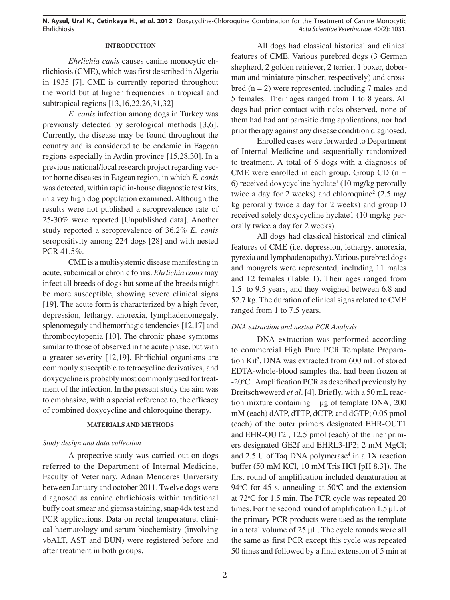### **INTRODUCTION**

*Ehrlichia canis* causes canine monocytic ehrlichiosis (CME), which was first described in Algeria in 1935 [7]. CME is currently reported throughout the world but at higher frequencies in tropical and subtropical regions [13,16,22,26,31,32]

*E. canis* infection among dogs in Turkey was previously detected by serological methods [3,6]. Currently, the disease may be found throughout the country and is considered to be endemic in Eagean regions especially in Aydin province [15,28,30]. In a previous national/local research project regarding vector borne diseases in Eagean region, in which *E. canis* was detected, within rapid in-house diagnostic test kits, in a vey high dog population examined. Although the results were not published a seroprevalence rate of 25-30% were reported [Unpublished data]. Another study reported a seroprevalence of 36.2% *E. canis* seropositivity among 224 dogs [28] and with nested PCR 41.5%.

CME is a multisystemic disease manifesting in acute, subcinical or chronic forms. *Ehrlichia canis* may infect all breeds of dogs but some af the breeds might be more susceptible, showing severe clinical signs [19]. The acute form is characterized by a high fever, depression, lethargy, anorexia, lymphadenomegaly, splenomegaly and hemorrhagic tendencies [12,17] and thrombocytopenia [10]. The chronic phase symtoms similar to those of observed in the acute phase, but with a greater severity [12,19]. Ehrlichial organisms are commonly susceptible to tetracycline derivatives, and doxycycline is probably most commonly used for treatment of the infection. In the present study the aim was to emphasize, with a special reference to, the efficacy of combined doxycycline and chloroquine therapy.

# **MATERIALS AND METHODS**

## *Study design and data collection*

A propective study was carried out on dogs referred to the Department of Internal Medicine, Faculty of Veterinary, Adnan Menderes University between January and october 2011. Twelve dogs were diagnosed as canine ehrlichiosis within traditional buffy coat smear and giemsa staining, snap 4dx test and PCR applications. Data on rectal temperature, clinical haematology and serum biochemistry (involving vbALT, AST and BUN) were registered before and after treatment in both groups.

All dogs had classical historical and clinical features of CME. Various purebred dogs (3 German shepherd, 2 golden retriever, 2 terrier, 1 boxer, doberman and miniature pinscher, respectively) and crossbred  $(n = 2)$  were represented, including 7 males and 5 females. Their ages ranged from 1 to 8 years. All dogs had prior contact with ticks observed, none of them had had antiparasitic drug applications, nor had prior therapy against any disease condition diagnosed.

Enrolled cases were forwarded to Department of Internal Medicine and sequentially randomized to treatment. A total of 6 dogs with a diagnosis of CME were enrolled in each group. Group  $CD(n =$  $6$ ) received doxycycline hyclate<sup>1</sup> (10 mg/kg perorally twice a day for 2 weeks) and chloroquine<sup>2</sup>  $(2.5 \text{ mg}/$ kg perorally twice a day for 2 weeks) and group D received solely doxycycline hyclate1 (10 mg/kg perorally twice a day for 2 weeks).

All dogs had classical historical and clinical features of CME (i.e. depression, lethargy, anorexia, pyrexia and lymphadenopathy). Various purebred dogs and mongrels were represented, including 11 males and 12 females (Table 1). Their ages ranged from 1.5 to 9.5 years, and they weighed between 6.8 and 52.7 kg. The duration of clinical signs related to CME ranged from 1 to 7.5 years.

# *DNA extraction and nested PCR Analysis*

DNA extraction was performed according to commercial High Pure PCR Template Preparation Kit<sup>3</sup>. DNA was extracted from 600 mL of stored EDTA-whole-blood samples that had been frozen at -20°C . Amplification PCR as described previously by Breitschwewerd *et al*. [4]. Briefly, with a 50 mL reaction mixture containing 1 µg of template DNA; 200 mM (each) dATP, dTTP, dCTP, and dGTP; 0.05 pmol (each) of the outer primers designated EHR-OUT1 and EHR-OUT2 , 12.5 pmol (each) of the iner primers designated GE2f and EHRL3-IP2; 2 mM MgCl; and  $2.5$  U of Taq DNA polymerase<sup>4</sup> in a 1X reaction buffer (50 mM KCl, 10 mM Tris HCl [pH 8.3]). The first round of amplification included denaturation at 94 $\rm ^{o}C$  for 45 s, annealing at 50 $\rm ^{o}C$  and the extension at 72°C for 1.5 min. The PCR cycle was repeated 20 times. For the second round of amplification 1,5 µL of the primary PCR products were used as the template in a total volume of 25 µL. The cycle rounds were all the same as first PCR except this cycle was repeated 50 times and followed by a final extension of 5 min at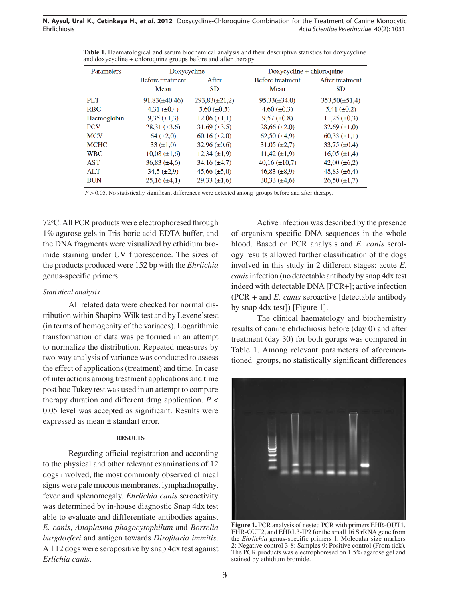| Parameters  | Doxycycline             |                     | $Doxycyclic + chloroquine$ |                     |
|-------------|-------------------------|---------------------|----------------------------|---------------------|
|             | <b>Before treatment</b> | After               | <b>Before</b> treatment    | After treatment     |
|             | Mean                    | <b>SD</b>           | Mean                       | <b>SD</b>           |
| PLT         | $91.83(\pm 40.46)$      | $293,83(\pm 21,2)$  | $95,33(\pm 34.0)$          | $353,50(\pm 51,4)$  |
| <b>RBC</b>  | 4,31 $(\pm 0.4)$        | $5,60 \ (\pm 0.5)$  | $4,60 \ (\pm 0.3)$         | $5,41 \ (\pm 0.2)$  |
| Haemoglobin | $9,35 \ (\pm 1,3)$      | $12,06 \ (\pm 1,1)$ | $9,57 \ (\pm 0.8)$         | $11,25 \ (\pm 0,3)$ |
| <b>PCV</b>  | $28,31 \ (\pm 3,6)$     | $31,69 \ (\pm 3,5)$ | $28,66 (\pm 2.0)$          | 32,69 $(\pm 1,0)$   |
| <b>MCV</b>  | $64 (\pm 2.0)$          | $60,16 \ (\pm 2,0)$ | $62,50 \ (\pm 4,9)$        | $60,33 \ (\pm 1,1)$ |
| <b>MCHC</b> | 33 $(\pm 1.0)$          | $32,96 \ (\pm 0.6)$ | $31.05 (\pm 2.7)$          | 33,75 $(\pm 0.4)$   |
| <b>WBC</b>  | $10,08 \ (\pm 1,6)$     | $12,34 \ (\pm 1,9)$ | $11,42 \ (\pm 1,9)$        | $16,05 \ (\pm 1,4)$ |
| <b>AST</b>  | $36,83 \ (\pm 4,6)$     | $34,16 \ (\pm 4,7)$ | $40,16 \ (\pm 10,7)$       | $42,00 \ (\pm 6,2)$ |
| <b>ALT</b>  | $34,5 \ (\pm 2,9)$      | $45,66 \ (\pm 5,0)$ | $46,83 \ (\pm 8,9)$        | $48,83 \ (\pm 6,4)$ |
| <b>BUN</b>  | $25,16 \ (\pm 4,1)$     | $29,33 \ (\pm 1,6)$ | $30,33 \ (\pm 4,6)$        | $26,50 (\pm 1,7)$   |

**Table 1.** Haematological and serum biochemical analysis and their descriptive statistics for doxycycline and doxycycline + chloroquine groups before and after therapy.

*P* > 0.05. No statistically significant differences were detected among groups before and after therapy.

72°C. All PCR products were electrophoresed through 1% agarose gels in Tris-boric acid-EDTA buffer, and the DNA fragments were visualized by ethidium bromide staining under UV fluorescence. The sizes of the products produced were 152 bp with the *Ehrlichia* genus-specific primers

## *Statistical analysis*

All related data were checked for normal distribution within Shapiro-Wilk test and by Levene'stest (in terms of homogenity of the variaces). Logarithmic transformation of data was performed in an attempt to normalize the distribution. Repeated measures by two-way analysis of variance was conducted to assess the effect of applications (treatment) and time. In case of interactions among treatment applications and time post hoc Tukey test was used in an attempt to compare therapy duration and different drug application.  $P$  < 0.05 level was accepted as significant. Results were expressed as mean ± standart error.

## **RESULTS**

Regarding official registration and according to the physical and other relevant examinations of 12 dogs involved, the most commonly observed clinical signs were pale mucous membranes, lymphadnopathy, fever and splenomegaly. *Ehrlichia canis* seroactivity was determined by in-house diagnostic Snap 4dx test able to evaluate and diffferentiate antibodies against *E. canis*, *Anaplasma phagocytophilum* and *Borrelia burgdorferi* and antigen towards *Dirofilaria immitis*. All 12 dogs were seropositive by snap 4dx test against *Erlichia canis*.

Active infection was described by the presence of organism-specific DNA sequences in the whole blood. Based on PCR analysis and *E. canis* serology results allowed further classification of the dogs involved in this study in 2 different stages: acute *E. canis* infection (no detectable antibody by snap 4dx test indeed with detectable DNA [PCR+]; active infection (PCR + and *E. canis* seroactive [detectable antibody by snap 4dx test]) [Figure 1].

The clinical haematology and biochemistry results of canine ehrlichiosis before (day 0) and after treatment (day 30) for both gorups was compared in Table 1. Among relevant parameters of aforementioned groups, no statistically significant differences



**Figure 1.** PCR analysis of nested PCR with primers EHR-OUT1, EHR-OUT2, and EHRL3-IP2 for the small 16 S rRNA gene from the *Ehrlichia* genus-specific primers 1: Molecular size markers 2: Negative control 3-8: Samples 9: Positive control (From tick). The PCR products was electrophoresed on 1.5% agarose gel and stained by ethidium bromide.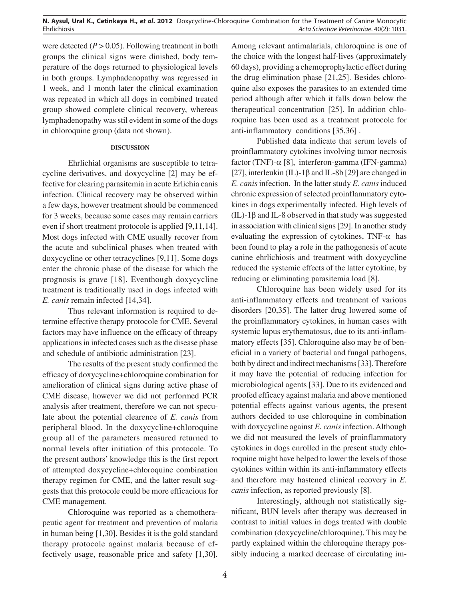were detected  $(P > 0.05)$ . Following treatment in both groups the clinical signs were dinished, body temperature of the dogs returned to physiological levels in both groups. Lymphadenopathy was regressed in 1 week, and 1 month later the clinical examination was repeated in which all dogs in combined treated group showed complete clinical recovery, whereas lymphadenopathy was stil evident in some of the dogs in chloroquine group (data not shown).

#### **DISCUSSION**

Ehrlichial organisms are susceptible to tetracycline derivatives, and doxycycline [2] may be effective for clearing parasitemia in acute Erlichia canis infection. Clinical recovery may be observed within a few days, however treatment should be commenced for 3 weeks, because some cases may remain carriers even if short treatment protocole is applied [9,11,14]. Most dogs infected with CME usually recover from the acute and subclinical phases when treated with doxycycline or other tetracyclines [9,11]. Some dogs enter the chronic phase of the disease for which the prognosis is grave [18]. Eventhough doxycycline treatment is traditionally used in dogs infected with *E. canis* remain infected [14,34].

Thus relevant information is required to determine effective therapy protocole for CME. Several factors may have influence on the efficacy of threapy applications in infected cases such as the disease phase and schedule of antibiotic administration [23].

The results of the present study confirmed the efficacy of doxycycline+chloroquine combination for amelioration of clinical signs during active phase of CME disease, however we did not performed PCR analysis after treatment, therefore we can not speculate about the potential clearence of *E. canis* from peripheral blood. In the doxycycline+chloroquine group all of the parameters measured returned to normal levels after initiation of this protocole. To the present authors' knowledge this is the first report of attempted doxycycline+chloroquine combination therapy regimen for CME, and the latter result suggests that this protocole could be more efficacious for CME management.

Chloroquine was reported as a chemotherapeutic agent for treatment and prevention of malaria in human being [1,30]. Besides it is the gold standard therapy protocole against malaria because of effectively usage, reasonable price and safety [1,30].

Among relevant antimalarials, chloroquine is one of the choice with the longest half-lives (approximately 60 days), providing a chemoprophylactic effect during the drug elimination phase [21,25]. Besides chloroquine also exposes the parasites to an extended time period although after which it falls down below the therapeutical concentration [25]. In addition chloroquine has been used as a treatment protocole for anti-inflammatory conditions [35,36] .

Published data indicate that serum levels of proinflammatory cytokines involving tumor necrosis factor (TNF)- $\alpha$  [8], interferon-gamma (IFN-gamma) [27], interleukin (IL)-1 $\beta$  and IL-8b [29] are changed in *E. canis* infection. In the latter study *E. canis* induced chronic expression of selected proinflammatory cytokines in dogs experimentally infected. High levels of (IL)-1β and IL-8 observed in that study was suggested in association with clinical signs [29]. In another study evaluating the expression of cytokines, TNF- $\alpha$  has been found to play a role in the pathogenesis of acute canine ehrlichiosis and treatment with doxycycline reduced the systemic effects of the latter cytokine, by reducing or eliminating parasitemia load [8].

Chloroquine has been widely used for its anti-inflammatory effects and treatment of various disorders [20,35]. The latter drug lowered some of the proinflammatory cytokines, in human cases with systemic lupus erythematosus, due to its anti-inflammatory effects [35]. Chloroquine also may be of beneficial in a variety of bacterial and fungal pathogens, both by direct and indirect mechanisms [33]. Therefore it may have the potential of reducing infection for microbiological agents [33]. Due to its evidenced and proofed efficacy against malaria and above mentioned potential effects against various agents, the present authors decided to use chloroquine in combination with doxycycline against *E. canis* infection. Although we did not measured the levels of proinflammatory cytokines in dogs enrolled in the present study chloroquine might have helped to lower the levels of those cytokines within within its anti-inflammatory effects and therefore may hastened clinical recovery in *E. canis* infection, as reported previously [8].

Interestingly, although not statistically significant, BUN levels after therapy was decreased in contrast to initial values in dogs treated with double combination (doxycycline/chloroquine). This may be partly explained within the chloroquine therapy possibly inducing a marked decrease of circulating im-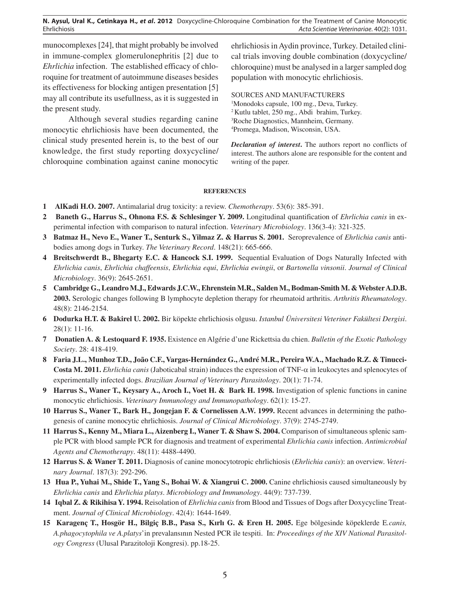munocomplexes [24], that might probably be involved in immune-complex glomerulonephritis [2] due to *Ehrlichia* infection. The established efficacy of chloroquine for treatment of autoimmune diseases besides its effectiveness for blocking antigen presentation [5] may all contribute its usefullness, as it is suggested in the present study.

Although several studies regarding canine monocytic ehrlichiosis have been documented, the clinical study presented herein is, to the best of our knowledge, the first study reporting doxycycline/ chloroquine combination against canine monocytic ehrlichiosis in Aydin province, Turkey. Detailed clinical trials invoving double combination (doxycycline/ chloroquine) must be analysed in a larger sampled dog population with monocytic ehrlichiosis.

SOURCES AND MANUFACTURERS

 Monodoks capsule, 100 mg., Deva, Turkey. Kutlu tablet, 250 mg., Abdi brahim, Turkey. Roche Diagnostics, Mannheim, Germany. Promega, Madison, Wisconsin, USA.

*Declaration of interest***.** The authors report no conflicts of interest. The authors alone are responsible for the content and writing of the paper.

### **REFERENCES**

- **1 AlKadi H.O. 2007.** Antimalarial drug toxicity: a review. *Chemotherapy*. 53(6): 385-391.
- **2 Baneth G., Harrus S., Ohnona F.S. & Schlesinger Y. 2009.** Longitudinal quantification of *Ehrlichia canis* in experimental infection with comparison to natural infection. *Veterinary Microbiology*. 136(3-4): 321-325.
- **3 Batmaz H., Nevo E., Waner T., Senturk S., Yilmaz Z. & Harrus S. 2001.** Seroprevalence of *Ehrlichia canis* antibodies among dogs in Turkey. *The Veterinary Record*. 148(21): 665-666.
- **4 Breitschwerdt B., Bhegarty E.C. & Hancock S.I. 1999.** Sequential Evaluation of Dogs Naturally Infected with *Ehrlichia canis*, *Ehrlichia chaffeensis*, *Ehrlichia equi*, *Ehrlichia ewingii*, or *Bartonella vinsonii*. *Journal of Clinical Microbiology*. 36(9): 2645-2651.
- **5 Cambridge G., Leandro M.J., Edwards J.C.W., Ehrenstein M.R., Salden M., Bodman-Smith M. & Webster A.D.B. 2003.** Serologic changes following B lymphocyte depletion therapy for rheumatoid arthritis. *Arthritis Rheumatology*. 48(8): 2146-2154.
- **6 Dodurka H.T. & Bakirel U. 2002.** Bir köpekte ehrlichiosis olgusu. *Istanbul Üniversitesi Veteriner Fakültesi Dergisi*. 28(1): 11-16.
- **7 Donatien A. & Lestoquard F. 1935.** Existence en Algérie d'une Rickettsia du chien. *Bulletin of the Exotic Pathology Society*. 28: 418-419.
- **8 Faria J.L., Munhoz T.D., João C.F., Vargas-Hernández G., André M.R., Pereira W.A., Machado R.Z. & Tinucci-Costa M. 2011.** *Ehrlichia canis* (Jaboticabal strain) induces the expression of TNF- $\alpha$  in leukocytes and splenocytes of experimentally infected dogs. *Brazilian Journal of Veterinary Parasitology*. 20(1): 71-74.
- **9 Harrus S., Waner T., Keysary A., Aroch I., Voet H. & Bark H. 1998.** Investigation of splenic functions in canine monocytic ehrlichiosis. *Veterinary Immunology and Immunopathology*. 62(1): 15-27.
- **10 Harrus S., Waner T., Bark H., Jongejan F. & Cornelissen A.W. 1999.** Recent advances in determining the pathogenesis of canine monocytic ehrlichiosis. *Journal of Clinical Microbiology*. 37(9): 2745-2749.
- **11 Harrus S., Kenny M., Miara L., Aizenberg I., Waner T. & Shaw S. 2004.** Comparison of simultaneous splenic sample PCR with blood sample PCR for diagnosis and treatment of experimental *Ehrlichia canis* infection. *Antimicrobial Agents and Chemotherapy*. 48(11): 4488-4490.
- **12 Harrus S. & Waner T. 2011.** Diagnosis of canine monocytotropic ehrlichiosis (*Ehrlichia canis*): an overview. *Veterinary Journal*. 187(3): 292-296.
- **13 Hua P., Yuhai M., Shide T., Yang S., Bohai W. & Xiangrui C. 2000.** Canine ehrlichiosis caused simultaneously by *Ehrlichia canis* and *Ehrlichia platys*. *Microbiology and Immunology*. 44(9): 737-739.
- **14 Iqbal Z. & Rikihisa Y. 1994.** Reisolation of *Ehrlichia canis* from Blood and Tissues of Dogs after Doxycycline Treatment. *Journal of Clinical Microbiology*. 42(4): 1644-1649.
- **15 Karagenç T., Hosgör H., Bilgiç B.B., Pasa S., Kırlı G. & Eren H. 2005.** Ege bölgesinde köpeklerde E*.canis, A.phagocytophila ve A.platys*'in prevalansının Nested PCR ile tespiti. In: *Proceedings of the XIV National Parasitology Congress* (Ulusal Parazitoloji Kongresi). pp.18-25.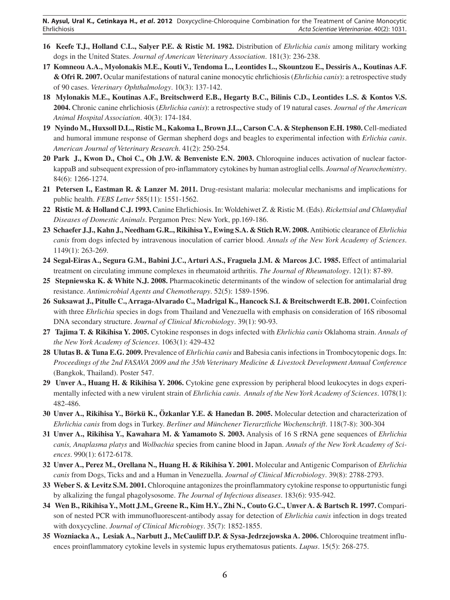- **16 Keefe T.J., Holland C.L., Salyer P.E. & Ristic M. 1982.** Distribution of *Ehrlichia canis* among military working dogs in the United States. *Journal of American Veterinary Association*. 181(3): 236-238.
- **17 Komneou A.A., Myolonakis M.E., Kouti V., Tendoma L., Leontides L., Skountzou E., Dessiris A., Koutinas A.F. & Ofri R. 2007.** Ocular manifestations of natural canine monocytic ehrlichiosis (*Ehrlichia canis*): a retrospective study of 90 cases. *Veterinary Ophthalmology*. 10(3): 137-142.
- **18 Mylonakis M.E., Koutinas A.F., Breitschwerd E.B., Hegarty B.C., Bilinis C.D., Leontides L.S. & Kontos V.S. 2004.** Chronic canine ehrlichiosis (*Ehrlichia canis*): a retrospective study of 19 natural cases. *Journal of the American Animal Hospital Association*. 40(3): 174-184.
- **19 Nyindo M., Huxsoll D.L., Ristic M., Kakoma I., Brown J.L., Carson C.A. & Stephenson E.H. 1980.** Cell-mediated and humoral immune response of German shepherd dogs and beagles to experimental infection with *Erlichia canis*. *American Journal of Veterinary Research*. 41(2): 250-254.
- **20 Park J., Kwon D., Choi C., Oh J.W. & Benveniste E.N. 2003.** Chloroquine induces activation of nuclear factorkappaB and subsequent expression of pro-inflammatory cytokines by human astroglial cells. *Journal of Neurochemistry*. 84(6): 1266-1274.
- **21 Petersen I., Eastman R. & Lanzer M. 2011.** Drug-resistant malaria: molecular mechanisms and implications for public health. *FEBS Letter* 585(11): 1551-1562.
- **22 Ristic M. & Holland C.J. 1993.** Canine Ehrlichiosis. In: Woldehiwet Z. & Ristic M. (Eds). *Rickettsial and Chlamydial Diseases of Domestic Animals*. Pergamon Pres: New York, pp.169-186.
- **23 Schaefer J.J., Kahn J., Needham G.R.., Rikihisa Y., Ewing S.A. & Stich R.W. 2008.** Antibiotic clearance of *Ehrlichia canis* from dogs infected by intravenous inoculation of carrier blood. *Annals of the New York Academy of Sciences*. 1149(1): 263-269.
- **24 Segal-Eiras A., Segura G.M., Babini J.C., Arturi A.S., Fraguela J.M. & Marcos J.C. 1985.** Effect of antimalarial treatment on circulating immune complexes in rheumatoid arthritis. *The Journal of Rheumatology*. 12(1): 87-89.
- **25 Stepniewska K. & White N.J. 2008.** Pharmacokinetic determinants of the window of selection for antimalarial drug resistance. *Antimicrobial Agents and Chemotherapy*. 52(5): 1589-1596.
- **26 Suksawat J., Pitulle C., Arraga-Alvarado C., Madrigal K., Hancock S.I. & Breitschwerdt E.B. 2001.** Coinfection with three *Ehrlichia* species in dogs from Thailand and Venezuella with emphasis on consideration of 16S ribosomal DNA secondary structure. *Journal of Clinical Microbiology*. 39(1): 90-93.
- **27 Tajima T. & Rikihisa Y. 2005.** Cytokine responses in dogs infected with *Ehrlichia canis* Oklahoma strain. *Annals of the New York Academy of Sciences*. 1063(1): 429-432
- **28 Ulutas B. & Tuna E.G. 2009.** Prevalence of *Ehrlichia canis* and Babesia canis infections in Trombocytopenic dogs. In: *Proceedings of the 2nd FASAVA 2009 and the 35th Veterinary Medicine & Livestock Development Annual Conference*  (Bangkok, Thailand). Poster 547.
- **29 Unver A., Huang H. & Rikihisa Y. 2006.** Cytokine gene expression by peripheral blood leukocytes in dogs experimentally infected with a new virulent strain of *Ehrlichia canis*. *Annals of the New York Academy of Sciences*. 1078(1): 482-486.
- **30 Unver A., Rikihisa Y., Börkü K., Özkanlar Y.E. & Hanedan B. 2005.** Molecular detection and characterization of *Ehrlichia canis* from dogs in Turkey. *Berliner and Münchener Tierarztliche Wochenschrift*. 118(7-8): 300-304
- **31 Unver A., Rikihisa Y., Kawahara M. & Yamamoto S. 2003.** Analysis of 16 S rRNA gene sequences of *Ehrlichia canis, Anaplasma platys* and *Wolbachia* species from canine blood in Japan. *Annals of the New York Academy of Sciences*. 990(1): 6172-6178.
- **32 Unver A., Perez M., Orellana N., Huang H. & Rikihisa Y. 2001.** Molecular and Antigenic Comparison of *Ehrlichia canis* from Dogs, Ticks and and a Human in Venezuella. *Journal of Clinical Microbiology*. 39(8): 2788-2793.
- **33 Weber S. & Levitz S.M. 2001.** Chloroquine antagonizes the proinflammatory cytokine response to oppurtunistic fungi by alkalizing the fungal phagolysosome. *The Journal of Infectious diseases*. 183(6): 935-942.
- **34 Wen B., Rikihisa Y., Mott J.M., Greene R., Kim H.Y., Zhi N., Couto G.C., Unver A. & Bartsch R. 1997.** Comparison of nested PCR with immunofluorescent-antibody assay for detection of *Ehrlichia canis* infection in dogs treated with doxycycline. *Journal of Clinical Microbiogy*. 35(7): 1852-1855.
- **35 Wozniacka A., Lesiak A., Narbutt J., McCauliff D.P. & Sysa-Jedrzejowska A. 2006.** Chloroquine treatment influences proinflammatory cytokine levels in systemic lupus erythematosus patients. *Lupus*. 15(5): 268-275.